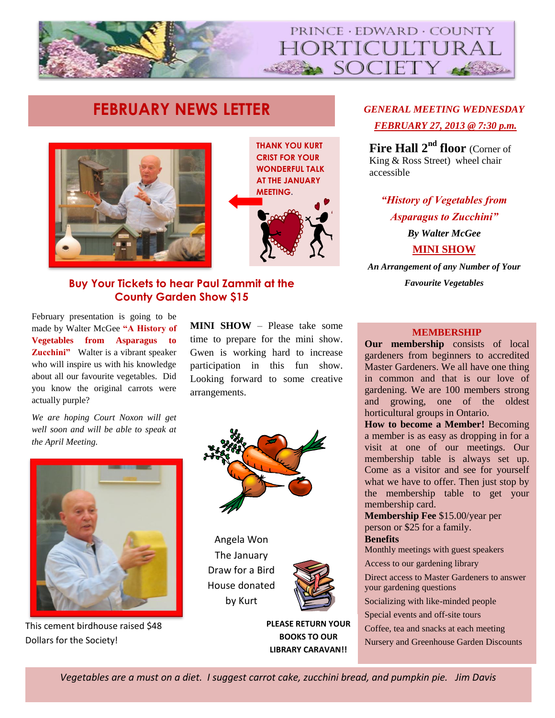

# **FEBRUARY NEWS LETTER** *GENERAL MEETING WEDNESDAY*





#### **FEBRUARY SPEAKER:**  $\frac{1}{2}$ **Buy Your Tickets to hear Paul Zammit at the County Garden Show \$15**

February presentation is going to be made by Walter McGee **"A History of Vegetables from Asparagus to Zucchini"** Walter is a vibrant speaker who will inspire us with his knowledge about all our favourite vegetables. Did you know the original carrots were actually purple?

*We are hoping Court Noxon will get well soon and will be able to speak at the April Meeting.* 



This cement birdhouse raised \$48 Dollars for the Society!

**MINI SHOW** – Please take some time to prepare for the mini show. Gwen is working hard to increase participation in this fun show. Looking forward to some creative arrangements.



Angela Won The January Draw for a Bird House donated by Kurt



**PLEASE RETURN YOUR BOOKS TO OUR LIBRARY CARAVAN!!**

# *FEBRUARY 27, 2013 @ 7:30 p.m.*

**Fire Hall 2nd floor** (Corner of King & Ross Street) wheel chair accessible

*"History of Vegetables from Asparagus to Zucchini"*

> *By Walter McGee* **MINI SHOW**

*An Arrangement of any Number of Your Favourite Vegetables*

#### **MEMBERSHIP**

**Our membership** consists of local gardeners from beginners to accredited Master Gardeners. We all have one thing in common and that is our love of gardening. We are 100 members strong and growing, one of the oldest horticultural groups in Ontario.

**How to become a Member!** Becoming a member is as easy as dropping in for a visit at one of our meetings. Our membership table is always set up. Come as a visitor and see for yourself what we have to offer. Then just stop by the membership table to get your membership card.

**Membership Fee** \$15.00/year per person or \$25 for a family. **Benefits** 

Monthly meetings with guest speakers

Access to our gardening library

Direct access to Master Gardeners to answer your gardening questions

Socializing with like-minded people

Special events and off-site tours

Coffee, tea and snacks at each meeting

Nursery and Greenhouse Garden Discounts

**www.pechorticultural.org**

*Vegetables are a must on a diet. I suggest carrot cake, zucchini bread, and pumpkin pie. Jim Davis*